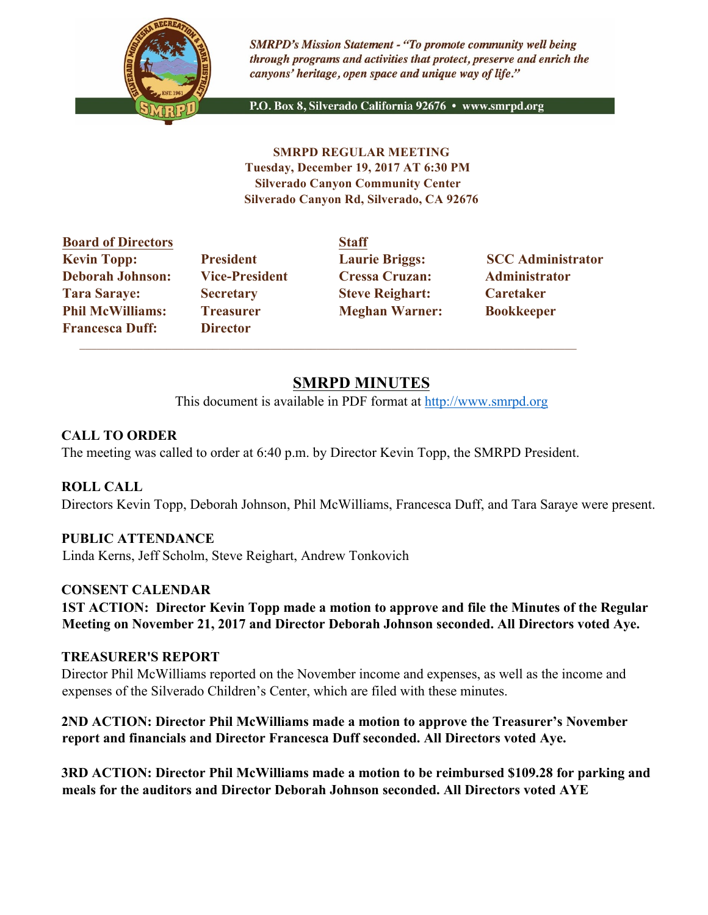

**SMRPD's Mission Statement - "To promote community well being** through programs and activities that protect, preserve and enrich the canyons' heritage, open space and unique way of life."

P.O. Box 8, Silverado California 92676 · www.smrpd.org

**SMRPD REGULAR MEETING Tuesday, December 19, 2017 AT 6:30 PM Silverado Canyon Community Center Silverado Canyon Rd, Silverado, CA 92676** 

| <b>Board of Directors</b> |                       | <b>Staff</b>           |                          |
|---------------------------|-----------------------|------------------------|--------------------------|
| <b>Kevin Topp:</b>        | <b>President</b>      | <b>Laurie Briggs:</b>  | <b>SCC Administrator</b> |
| <b>Deborah Johnson:</b>   | <b>Vice-President</b> | <b>Cressa Cruzan:</b>  | Administrator            |
| <b>Tara Saraye:</b>       | <b>Secretary</b>      | <b>Steve Reighart:</b> | Caretaker                |
| <b>Phil McWilliams:</b>   | <b>Treasurer</b>      | <b>Meghan Warner:</b>  | <b>Bookkeeper</b>        |
| <b>Francesca Duff:</b>    | <b>Director</b>       |                        |                          |

 $\mathcal{L}_\text{max}$  , and the set of the set of the set of the set of the set of the set of the set of the set of the set of

# **SMRPD MINUTES**

This document is available in PDF format at http://www.smrpd.org

### **CALL TO ORDER**

The meeting was called to order at 6:40 p.m. by Director Kevin Topp, the SMRPD President.

# **ROLL CALL**

Directors Kevin Topp, Deborah Johnson, Phil McWilliams, Francesca Duff, and Tara Saraye were present.

#### **PUBLIC ATTENDANCE**

Linda Kerns, Jeff Scholm, Steve Reighart, Andrew Tonkovich

#### **CONSENT CALENDAR**

**1ST ACTION: Director Kevin Topp made a motion to approve and file the Minutes of the Regular Meeting on November 21, 2017 and Director Deborah Johnson seconded. All Directors voted Aye.**

#### **TREASURER'S REPORT**

Director Phil McWilliams reported on the November income and expenses, as well as the income and expenses of the Silverado Children's Center, which are filed with these minutes.

**2ND ACTION: Director Phil McWilliams made a motion to approve the Treasurer's November report and financials and Director Francesca Duff seconded. All Directors voted Aye.**

**3RD ACTION: Director Phil McWilliams made a motion to be reimbursed \$109.28 for parking and meals for the auditors and Director Deborah Johnson seconded. All Directors voted AYE**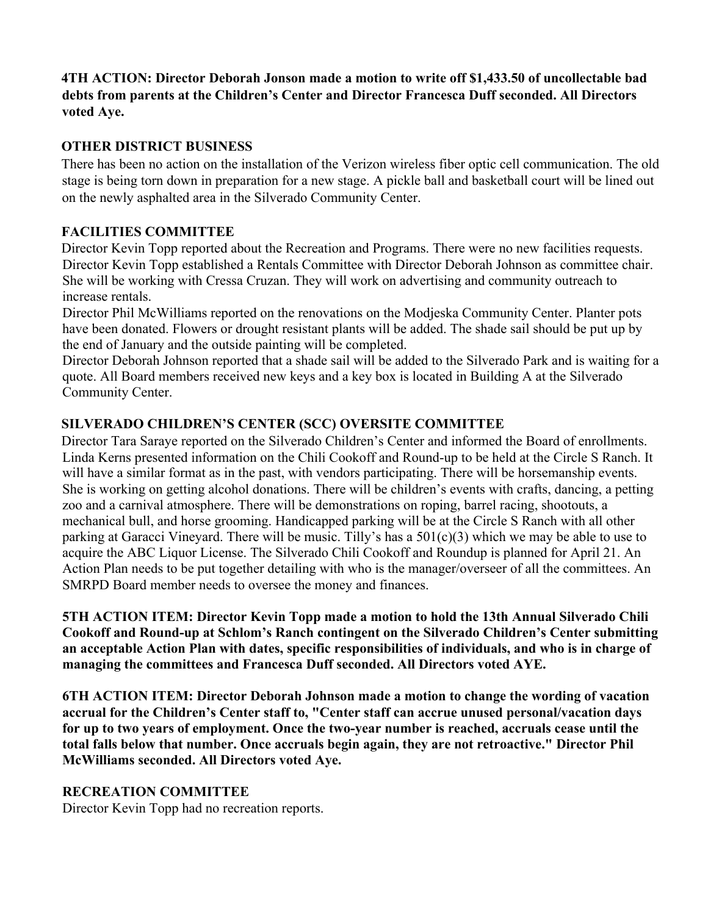### **4TH ACTION: Director Deborah Jonson made a motion to write off \$1,433.50 of uncollectable bad debts from parents at the Children's Center and Director Francesca Duff seconded. All Directors voted Aye.**

# **OTHER DISTRICT BUSINESS**

There has been no action on the installation of the Verizon wireless fiber optic cell communication. The old stage is being torn down in preparation for a new stage. A pickle ball and basketball court will be lined out on the newly asphalted area in the Silverado Community Center.

# **FACILITIES COMMITTEE**

Director Kevin Topp reported about the Recreation and Programs. There were no new facilities requests. Director Kevin Topp established a Rentals Committee with Director Deborah Johnson as committee chair. She will be working with Cressa Cruzan. They will work on advertising and community outreach to increase rentals.

Director Phil McWilliams reported on the renovations on the Modjeska Community Center. Planter pots have been donated. Flowers or drought resistant plants will be added. The shade sail should be put up by the end of January and the outside painting will be completed.

Director Deborah Johnson reported that a shade sail will be added to the Silverado Park and is waiting for a quote. All Board members received new keys and a key box is located in Building A at the Silverado Community Center.

# **SILVERADO CHILDREN'S CENTER (SCC) OVERSITE COMMITTEE**

Director Tara Saraye reported on the Silverado Children's Center and informed the Board of enrollments. Linda Kerns presented information on the Chili Cookoff and Round-up to be held at the Circle S Ranch. It will have a similar format as in the past, with vendors participating. There will be horsemanship events. She is working on getting alcohol donations. There will be children's events with crafts, dancing, a petting zoo and a carnival atmosphere. There will be demonstrations on roping, barrel racing, shootouts, a mechanical bull, and horse grooming. Handicapped parking will be at the Circle S Ranch with all other parking at Garacci Vineyard. There will be music. Tilly's has a 501(c)(3) which we may be able to use to acquire the ABC Liquor License. The Silverado Chili Cookoff and Roundup is planned for April 21. An Action Plan needs to be put together detailing with who is the manager/overseer of all the committees. An SMRPD Board member needs to oversee the money and finances.

**5TH ACTION ITEM: Director Kevin Topp made a motion to hold the 13th Annual Silverado Chili Cookoff and Round-up at Schlom's Ranch contingent on the Silverado Children's Center submitting an acceptable Action Plan with dates, specific responsibilities of individuals, and who is in charge of managing the committees and Francesca Duff seconded. All Directors voted AYE.**

**6TH ACTION ITEM: Director Deborah Johnson made a motion to change the wording of vacation accrual for the Children's Center staff to, "Center staff can accrue unused personal/vacation days for up to two years of employment. Once the two-year number is reached, accruals cease until the total falls below that number. Once accruals begin again, they are not retroactive." Director Phil McWilliams seconded. All Directors voted Aye.**

# **RECREATION COMMITTEE**

Director Kevin Topp had no recreation reports.